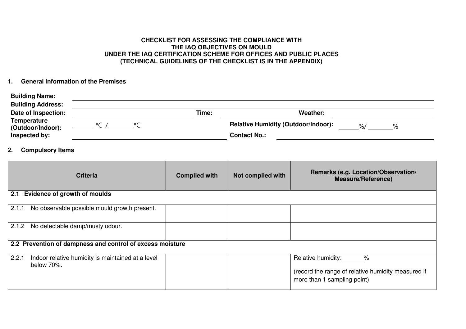## **CHECKLIST FOR ASSESSING THE COMPLIANCE WITH THE IAQ OBJECTIVES ON MOULD UNDER THE IAQ CERTIFICATION SCHEME FOR OFFICES AND PUBLIC PLACES (TECHNICAL GUIDELINES OF THE CHECKLIST IS IN THE APPENDIX)**

## **1. General Information of the Premises**

| <b>Building Name:</b>                   |       |                                                                   |  |
|-----------------------------------------|-------|-------------------------------------------------------------------|--|
| <b>Building Address:</b>                |       |                                                                   |  |
| Date of Inspection:                     | Time: | Weather:                                                          |  |
| <b>Temperature</b><br>(Outdoor/Indoor): |       | <b>Relative Humidity (Outdoor/Indoor):</b><br>$\frac{9}{6}$<br>∘∕ |  |
| Inspected by:                           |       | <b>Contact No.:</b>                                               |  |

## **2. Compulsory Items**

|                                                           | <b>Criteria</b>                                                 | <b>Complied with</b> | Not complied with | Remarks (e.g. Location/Observation/<br><b>Measure/Reference)</b>                                                |
|-----------------------------------------------------------|-----------------------------------------------------------------|----------------------|-------------------|-----------------------------------------------------------------------------------------------------------------|
| 2.1                                                       | <b>Evidence of growth of moulds</b>                             |                      |                   |                                                                                                                 |
| 2.1.1                                                     | No observable possible mould growth present.                    |                      |                   |                                                                                                                 |
| 2.1.2                                                     | No detectable damp/musty odour.                                 |                      |                   |                                                                                                                 |
| 2.2 Prevention of dampness and control of excess moisture |                                                                 |                      |                   |                                                                                                                 |
| 2.2.1                                                     | Indoor relative humidity is maintained at a level<br>below 70%. |                      |                   | Relative humidity: ______%<br>(record the range of relative humidity measured if<br>more than 1 sampling point) |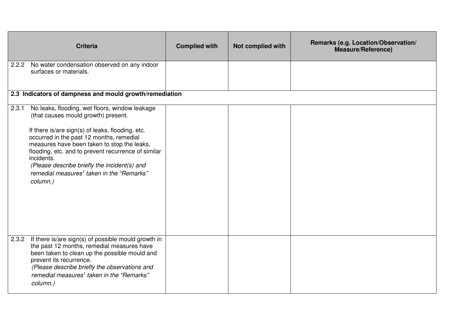|       | <b>Criteria</b>                                                                                                                                                                                                                                                                                                                                                                                                                | <b>Complied with</b> | Not complied with | Remarks (e.g. Location/Observation/<br><b>Measure/Reference)</b> |
|-------|--------------------------------------------------------------------------------------------------------------------------------------------------------------------------------------------------------------------------------------------------------------------------------------------------------------------------------------------------------------------------------------------------------------------------------|----------------------|-------------------|------------------------------------------------------------------|
| 2.2.2 | No water condensation observed on any indoor<br>surfaces or materials.                                                                                                                                                                                                                                                                                                                                                         |                      |                   |                                                                  |
|       | 2.3 Indicators of dampness and mould growth/remediation                                                                                                                                                                                                                                                                                                                                                                        |                      |                   |                                                                  |
| 2.3.1 | No leaks, flooding, wet floors, window leakage<br>(that causes mould growth) present.<br>If there is/are sign(s) of leaks, flooding, etc.<br>occurred in the past 12 months, remedial<br>measures have been taken to stop the leaks,<br>flooding, etc. and to prevent recurrence of similar<br>incidents.<br>(Please describe briefly the incident(s) and<br>remedial measures <sup>1</sup> taken in the "Remarks"<br>column.) |                      |                   |                                                                  |
| 2.3.2 | If there is/are sign(s) of possible mould growth in<br>the past 12 months, remedial measures have<br>been taken to clean up the possible mould and<br>prevent its recurrence.<br>(Please describe briefly the observations and<br>remedial measures <sup>1</sup> taken in the "Remarks"<br>column.)                                                                                                                            |                      |                   |                                                                  |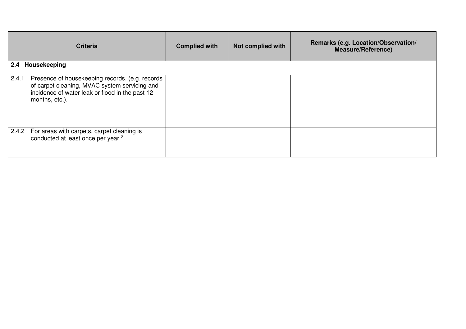|                     | <b>Criteria</b>                                                                                                                                                       | <b>Complied with</b> | Not complied with | Remarks (e.g. Location/Observation/<br><b>Measure/Reference)</b> |
|---------------------|-----------------------------------------------------------------------------------------------------------------------------------------------------------------------|----------------------|-------------------|------------------------------------------------------------------|
| Housekeeping<br>2.4 |                                                                                                                                                                       |                      |                   |                                                                  |
| 2.4.1               | Presence of housekeeping records. (e.g. records<br>of carpet cleaning, MVAC system servicing and<br>incidence of water leak or flood in the past 12<br>months, etc.). |                      |                   |                                                                  |
|                     | 2.4.2 For areas with carpets, carpet cleaning is<br>conducted at least once per year. <sup>2</sup>                                                                    |                      |                   |                                                                  |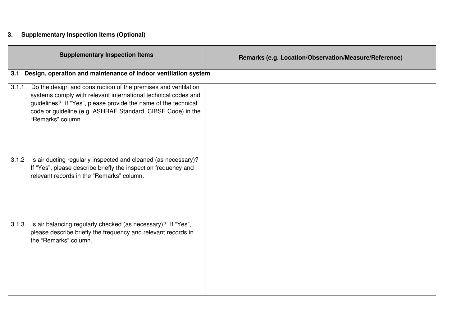## **3. Supplementary Inspection Items (Optional)**

| <b>Supplementary Inspection Items</b>                                                                                                                                                                                                                                                           | Remarks (e.g. Location/Observation/Measure/Reference) |
|-------------------------------------------------------------------------------------------------------------------------------------------------------------------------------------------------------------------------------------------------------------------------------------------------|-------------------------------------------------------|
| Design, operation and maintenance of indoor ventilation system<br>3.1                                                                                                                                                                                                                           |                                                       |
| Do the design and construction of the premises and ventilation<br>3.1.1<br>systems comply with relevant international technical codes and<br>guidelines? If "Yes", please provide the name of the technical<br>code or guideline (e.g. ASHRAE Standard, CIBSE Code) in the<br>"Remarks" column. |                                                       |
| Is air ducting regularly inspected and cleaned (as necessary)?<br>3.1.2<br>If "Yes", please describe briefly the inspection frequency and<br>relevant records in the "Remarks" column.                                                                                                          |                                                       |
| Is air balancing regularly checked (as necessary)? If "Yes",<br>3.1.3<br>please describe briefly the frequency and relevant records in<br>the "Remarks" column.                                                                                                                                 |                                                       |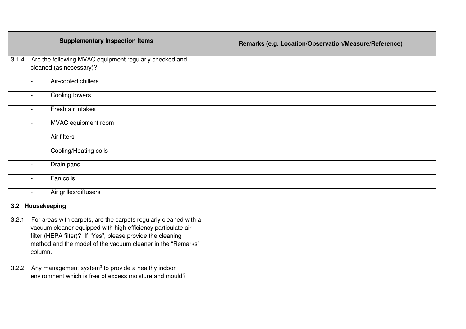| <b>Supplementary Inspection Items</b>                                                                                                                                                                                                                                              | Remarks (e.g. Location/Observation/Measure/Reference) |
|------------------------------------------------------------------------------------------------------------------------------------------------------------------------------------------------------------------------------------------------------------------------------------|-------------------------------------------------------|
| 3.1.4<br>Are the following MVAC equipment regularly checked and<br>cleaned (as necessary)?                                                                                                                                                                                         |                                                       |
| Air-cooled chillers                                                                                                                                                                                                                                                                |                                                       |
| Cooling towers                                                                                                                                                                                                                                                                     |                                                       |
| Fresh air intakes                                                                                                                                                                                                                                                                  |                                                       |
| MVAC equipment room<br>$\overline{\phantom{0}}$                                                                                                                                                                                                                                    |                                                       |
| Air filters<br>$\sim$                                                                                                                                                                                                                                                              |                                                       |
| Cooling/Heating coils<br>$\blacksquare$                                                                                                                                                                                                                                            |                                                       |
| Drain pans                                                                                                                                                                                                                                                                         |                                                       |
| Fan coils                                                                                                                                                                                                                                                                          |                                                       |
| Air grilles/diffusers<br>$\blacksquare$                                                                                                                                                                                                                                            |                                                       |
| 3.2 Housekeeping                                                                                                                                                                                                                                                                   |                                                       |
| For areas with carpets, are the carpets regularly cleaned with a<br>3.2.1<br>vacuum cleaner equipped with high efficiency particulate air<br>filter (HEPA filter)? If "Yes", please provide the cleaning<br>method and the model of the vacuum cleaner in the "Remarks"<br>column. |                                                       |
| Any management system <sup>3</sup> to provide a healthy indoor<br>3.2.2<br>environment which is free of excess moisture and mould?                                                                                                                                                 |                                                       |